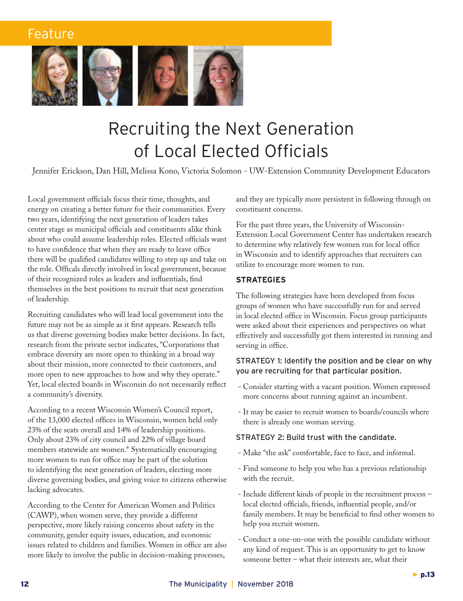

# Recruiting the Next Generation of Local Elected Officials

Jennifer Erickson, Dan Hill, Melissa Kono, Victoria Solomon - UW-Extension Community Development Educators

Local government officials focus their time, thoughts, and energy on creating a better future for their communities. Every two years, identifying the next generation of leaders takes center stage as municipal officials and constituents alike think about who could assume leadership roles. Elected officials want to have confidence that when they are ready to leave office there will be qualified candidates willing to step up and take on the role. Officals directly involved in local government, because of their recognized roles as leaders and influentials, find themselves in the best positions to recruit that next generation of leadership.

Recruiting candidates who will lead local government into the future may not be as simple as it first appears. Research tells us that diverse governing bodies make better decisions. In fact, research from the private sector indicates, "Corporations that embrace diversity are more open to thinking in a broad way about their mission, more connected to their customers, and more open to new approaches to how and why they operate." Yet, local elected boards in Wisconsin do not necessarily reflect a community's diversity.

According to a recent Wisconsin Women's Council report, of the 13,000 elected offices in Wisconsin, women held only 23% of the seats overall and 14% of leadership positions. Only about 23% of city council and 22% of village board members statewide are women.\* Systematically encouraging more women to run for office may be part of the solution to identifying the next generation of leaders, electing more diverse governing bodies, and giving voice to citizens otherwise lacking advocates.

According to the Center for American Women and Politics (CAWP), when women serve, they provide a different perspective, more likely raising concerns about safety in the community, gender equity issues, education, and economic issues related to children and families. Women in office are also more likely to involve the public in decision-making processes,

and they are typically more persistent in following through on constituent concerns.

For the past three years, the University of Wisconsin-Extension Local Government Center has undertaken research to determine why relatively few women run for local office in Wisconsin and to identify approaches that recruiters can utilize to encourage more women to run.

### **STRATEGIES**

The following strategies have been developed from focus groups of women who have successfully run for and served in local elected office in Wisconsin. Focus group participants were asked about their experiences and perspectives on what effectively and successfully got them interested in running and serving in office.

### STRATEGY 1: Identify the position and be clear on why you are recruiting for that particular position.

- Consider starting with a vacant position. Women expressed more concerns about running against an incumbent.
- It may be easier to recruit women to boards/councils where there is already one woman serving.

### STRATEGY 2: Build trust with the candidate.

- Make "the ask" comfortable, face to face, and informal.
- Find someone to help you who has a previous relationship with the recruit.
- Include different kinds of people in the recruitment process local elected officials, friends, influential people, and/or family members. It may be beneficial to find other women to help you recruit women.
- Conduct a one-on-one with the possible candidate without any kind of request. This is an opportunity to get to know someone better – what their interests are, what their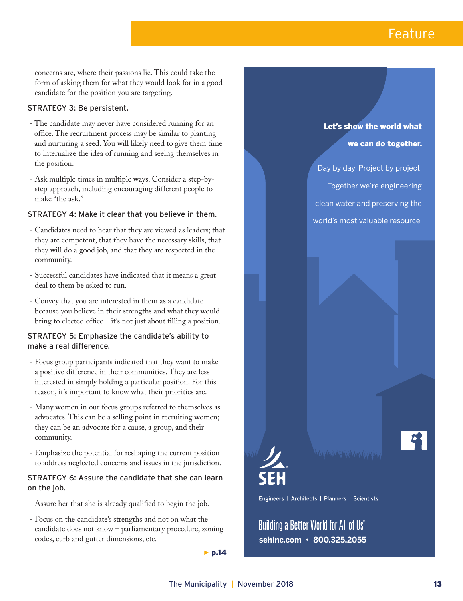concerns are, where their passions lie. This could take the form of asking them for what they would look for in a good candidate for the position you are targeting.

### STRATEGY 3: Be persistent.

- The candidate may never have considered running for an office. The recruitment process may be similar to planting and nurturing a seed. You will likely need to give them time to internalize the idea of running and seeing themselves in the position.
- Ask multiple times in multiple ways. Consider a step-bystep approach, including encouraging different people to make "the ask."

### STRATEGY 4: Make it clear that you believe in them.

- Candidates need to hear that they are viewed as leaders; that they are competent, that they have the necessary skills, that they will do a good job, and that they are respected in the community.
- Successful candidates have indicated that it means a great deal to them be asked to run.
- Convey that you are interested in them as a candidate because you believe in their strengths and what they would bring to elected office – it's not just about filling a position.

### STRATEGY 5: Emphasize the candidate's ability to make a real difference.

- Focus group participants indicated that they want to make a positive difference in their communities. They are less interested in simply holding a particular position. For this reason, it's important to know what their priorities are.
- Many women in our focus groups referred to themselves as advocates. This can be a selling point in recruiting women; they can be an advocate for a cause, a group, and their community.
- Emphasize the potential for reshaping the current position to address neglected concerns and issues in the jurisdiction.

### STRATEGY 6: Assure the candidate that she can learn on the job.

- Assure her that she is already qualified to begin the job.
- Focus on the candidate's strengths and not on what the candidate does not know – parliamentary procedure, zoning codes, curb and gutter dimensions, etc.

 $\blacktriangleright$  p.14

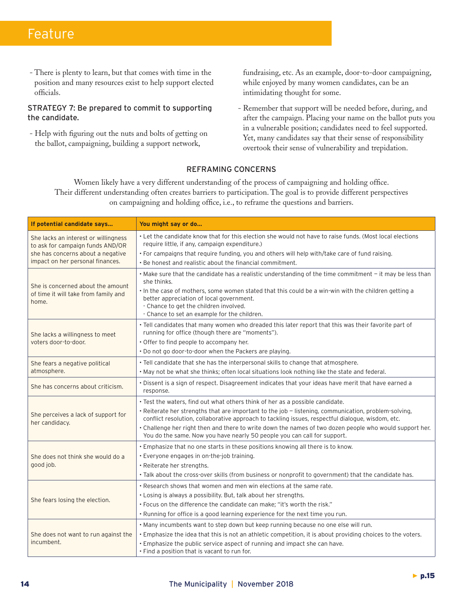- There is plenty to learn, but that comes with time in the position and many resources exist to help support elected officials.

### STRATEGY 7: Be prepared to commit to supporting the candidate.

 - Help with figuring out the nuts and bolts of getting on the ballot, campaigning, building a support network,

fundraising, etc. As an example, door-to-door campaigning, while enjoyed by many women candidates, can be an intimidating thought for some.

 - Remember that support will be needed before, during, and after the campaign. Placing your name on the ballot puts you in a vulnerable position; candidates need to feel supported. Yet, many candidates say that their sense of responsibility overtook their sense of vulnerability and trepidation.

### REFRAMING CONCERNS

Women likely have a very different understanding of the process of campaigning and holding office. Their different understanding often creates barriers to participation. The goal is to provide different perspectives on campaigning and holding office, i.e., to reframe the questions and barriers.

| If potential candidate says                                                                                                                       | You might say or do                                                                                                                                                                                                                        |
|---------------------------------------------------------------------------------------------------------------------------------------------------|--------------------------------------------------------------------------------------------------------------------------------------------------------------------------------------------------------------------------------------------|
| She lacks an interest or willingness<br>to ask for campaign funds AND/OR<br>she has concerns about a negative<br>impact on her personal finances. | • Let the candidate know that for this election she would not have to raise funds. (Most local elections<br>require little, if any, campaign expenditure.)                                                                                 |
|                                                                                                                                                   | • For campaigns that require funding, you and others will help with/take care of fund raising.                                                                                                                                             |
|                                                                                                                                                   | . Be honest and realistic about the financial commitment.                                                                                                                                                                                  |
| She is concerned about the amount<br>of time it will take from family and<br>home.                                                                | . Make sure that the candidate has a realistic understanding of the time commitment - it may be less than<br>she thinks.                                                                                                                   |
|                                                                                                                                                   | . In the case of mothers, some women stated that this could be a win-win with the children getting a<br>better appreciation of local government.<br>- Chance to get the children involved.<br>- Chance to set an example for the children. |
| She lacks a willingness to meet<br>voters door-to-door.                                                                                           | . Tell candidates that many women who dreaded this later report that this was their favorite part of                                                                                                                                       |
|                                                                                                                                                   | running for office (though there are "moments").                                                                                                                                                                                           |
|                                                                                                                                                   | • Offer to find people to accompany her.                                                                                                                                                                                                   |
|                                                                                                                                                   | . Do not go door-to-door when the Packers are playing.                                                                                                                                                                                     |
| She fears a negative political<br>atmosphere.                                                                                                     | . Tell candidate that she has the interpersonal skills to change that atmosphere.                                                                                                                                                          |
|                                                                                                                                                   | . May not be what she thinks; often local situations look nothing like the state and federal.                                                                                                                                              |
| She has concerns about criticism.                                                                                                                 | · Dissent is a sign of respect. Disagreement indicates that your ideas have merit that have earned a<br>response.                                                                                                                          |
| She perceives a lack of support for<br>her candidacy.                                                                                             | . Test the waters, find out what others think of her as a possible candidate.                                                                                                                                                              |
|                                                                                                                                                   | • Reiterate her strengths that are important to the job - listening, communication, problem-solving,<br>conflict resolution, collaborative approach to tackling issues, respectful dialogue, wisdom, etc.                                  |
|                                                                                                                                                   | • Challenge her right then and there to write down the names of two dozen people who would support her.<br>You do the same. Now you have nearly 50 people you can call for support.                                                        |
| She does not think she would do a<br>good job.                                                                                                    | . Emphasize that no one starts in these positions knowing all there is to know.                                                                                                                                                            |
|                                                                                                                                                   | • Everyone engages in on-the-job training.                                                                                                                                                                                                 |
|                                                                                                                                                   | • Reiterate her strengths.                                                                                                                                                                                                                 |
|                                                                                                                                                   | . Talk about the cross-over skills (from business or nonprofit to government) that the candidate has.                                                                                                                                      |
| She fears losing the election.                                                                                                                    | • Research shows that women and men win elections at the same rate.                                                                                                                                                                        |
|                                                                                                                                                   | . Losing is always a possibility. But, talk about her strengths.                                                                                                                                                                           |
|                                                                                                                                                   | . Focus on the difference the candidate can make; "it's worth the risk."                                                                                                                                                                   |
|                                                                                                                                                   | . Running for office is a good learning experience for the next time you run.                                                                                                                                                              |
| She does not want to run against the<br>incumbent.                                                                                                | . Many incumbents want to step down but keep running because no one else will run.                                                                                                                                                         |
|                                                                                                                                                   | • Emphasize the idea that this is not an athletic competition, it is about providing choices to the voters.                                                                                                                                |
|                                                                                                                                                   | . Emphasize the public service aspect of running and impact she can have.<br>• Find a position that is vacant to run for.                                                                                                                  |